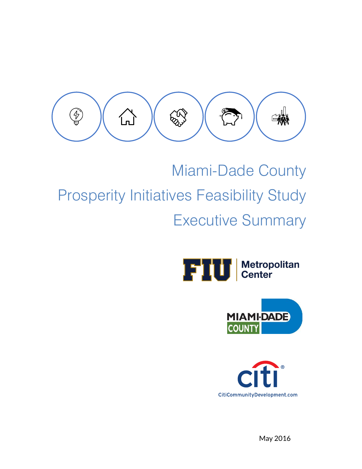

# Miami-Dade County Prosperity Initiatives Feasibility Study Executive Summary







May 2016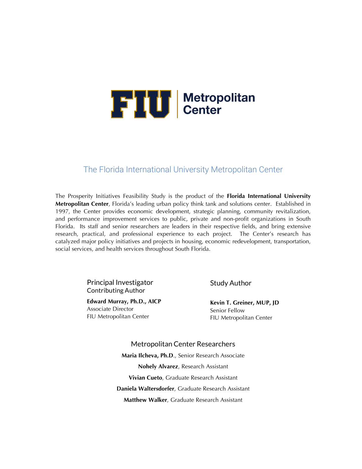

#### The Florida International University Metropolitan Center

The Prosperity Initiatives Feasibility Study is the product of the **Florida International University Metropolitan Center**, Florida's leading urban policy think tank and solutions center. Established in 1997, the Center provides economic development, strategic planning, community revitalization, and performance improvement services to public, private and non-profit organizations in South Florida. Its staff and senior researchers are leaders in their respective fields, and bring extensive research, practical, and professional experience to each project. The Center's research has catalyzed major policy initiatives and projects in housing, economic redevelopment, transportation, social services, and health services throughout South Florida.

> Principal Investigator Contributing Author

**Edward Murray, Ph.D., AICP** Associate Director FIU Metropolitan Center

Study Author

**Kevin T. Greiner, MUP, JD**  Senior Fellow FIU Metropolitan Center

Metropolitan Center Researchers **Maria Ilcheva, Ph.D**., Senior Research Associate **Nohely Alvarez**, Research Assistant **Vivian Cueto**, Graduate Research Assistant **Daniela Waltersdorfer**, Graduate Research Assistant **Matthew Walker**, Graduate Research Assistant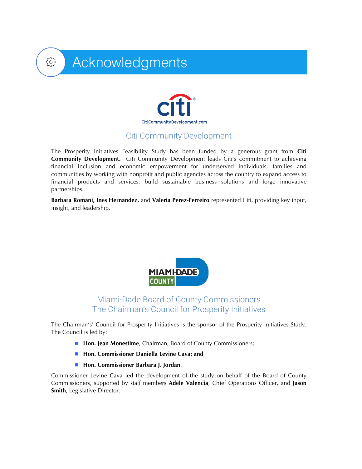

Acknowledgments

## Citi Community Development

The Prosperity Initiatives Feasibility Study has been funded by a generous grant from **Citi Community Development.** Citi Community Development leads Citi's commitment to achieving financial inclusion and economic empowerment for underserved individuals, families and communities by working with nonprofit and public agencies across the country to expand access to financial products and services, build sustainable business solutions and forge innovative partnerships.

**Barbara Romani, Ines Hernandez,** and **Valeria Perez-Ferreiro** represented Citi, providing key input, insight, and leadership.



### Miami-Dade Board of County Commissioners The Chairman's Council for Prosperity Initiatives

The Chairman's' Council for Prosperity Initiatives is the sponsor of the Prosperity Initiatives Study. The Council is led by:

- **Hon. Jean Monestime**, Chairman, Board of County Commissioners;
- Hon. Commissioner Daniella Levine Cava; and
- ! **Hon. Commissioner Barbara J. Jordan**.

Commissioner Levine Cava led the development of the study on behalf of the Board of County Commissioners, supported by staff members **Adele Valencia**, Chief Operations Officer, and **Jason Smith**, Legislative Director.

छु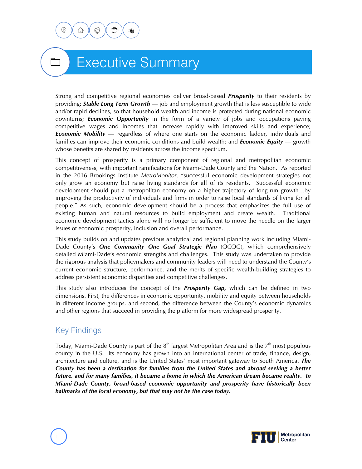

# Executive Summary

Strong and competitive regional economies deliver broad-based *Prosperity* to their residents by providing: *Stable Long Term Growth* — job and employment growth that is less susceptible to wide and/or rapid declines, so that household wealth and income is protected during national economic downturns; *Economic Opportunity* in the form of a variety of jobs and occupations paying competitive wages and incomes that increase rapidly with improved skills and experience; *Economic Mobility* — regardless of where one starts on the economic ladder, individuals and families can improve their economic conditions and build wealth; and *Economic Equity* — growth whose benefits are shared by residents across the income spectrum.

This concept of prosperity is a primary component of regional and metropolitan economic competitiveness, with important ramifications for Miami-Dade County and the Nation. As reported in the 2016 Brookings Institute *MetroMonitor*, "successful economic development strategies not only grow an economy but raise living standards for all of its residents. Successful economic development should put a metropolitan economy on a higher trajectory of long-run growth…by improving the productivity of individuals and firms in order to raise local standards of living for all people." As such, economic development should be a process that emphasizes the full use of existing human and natural resources to build employment and create wealth. Traditional economic development tactics alone will no longer be sufficient to move the needle on the larger issues of economic prosperity, inclusion and overall performance.

This study builds on and updates previous analytical and regional planning work including Miami-Dade County's *One Community One Goal Strategic Plan* (OCOG), which comprehensively detailed Miami-Dade's economic strengths and challenges. This study was undertaken to provide the rigorous analysis that policymakers and community leaders will need to understand the County's current economic structure, performance, and the merits of specific wealth-building strategies to address persistent economic disparities and competitive challenges.

This study also introduces the concept of the *Prosperity Gap,* which can be defined in two dimensions. First, the differences in economic opportunity, mobility and equity between households in different income groups, and second, the difference between the County's economic dynamics and other regions that succeed in providing the platform for more widespread prosperity.

# Key Findings

Today, Miami-Dade County is part of the  $8<sup>th</sup>$  largest Metropolitan Area and is the  $7<sup>th</sup>$  most populous county in the U.S. Its economy has grown into an international center of trade, finance, design, architecture and culture, and is the United States' most important gateway to South America. *The County has been a destination for families from the United States and abroad seeking a better future, and for many families, it became a home in which the American dream became reality. In Miami-Dade County, broad-based economic opportunity and prosperity have historically been hallmarks of the local economy, but that may not be the case today.*

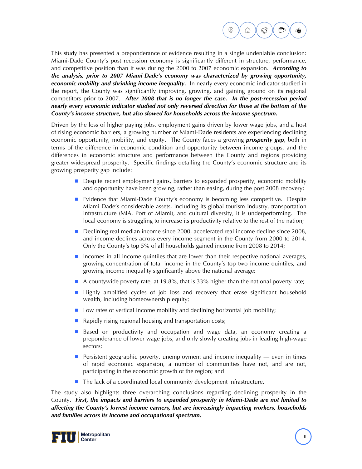

This study has presented a preponderance of evidence resulting in a single undeniable conclusion: Miami-Dade County's post recession economy is significantly different in structure, performance, and competitive position than it was during the 2000 to 2007 economic expansion. *According to the analysis, prior to 2007 Miami-Dade's economy was characterized by growing opportunity, economic mobility and shrinking income inequality.*In nearly every economic indicator studied in the report, the County was significantly improving, growing, and gaining ground on its regional competitors prior to 2007. *After 2008 that is no longer the case.**In the post-recession period nearly every economic indicator studied not only reversed direction for those at the bottom of the County's income structure, but also slowed for households across the income spectrum.* 

Driven by the loss of higher paying jobs, employment gains driven by lower wage jobs, and a host of rising economic barriers, a growing number of Miami-Dade residents are experiencing declining economic opportunity, mobility, and equity. The County faces a growing *prosperity gap*, both in terms of the difference in economic condition and opportunity between income groups, and the differences in economic structure and performance between the County and regions providing greater widespread prosperity. Specific findings detailing the County's economic structure and its growing prosperity gap include:

- **.** Despite recent employment gains, barriers to expanded prosperity, economic mobility and opportunity have been growing, rather than easing, during the post 2008 recovery;
- **EXECUTE:** Evidence that Miami-Dade County's economy is becoming less competitive. Despite Miami-Dade's considerable assets, including its global tourism industry, transportation infrastructure (MIA, Port of Miami), and cultural diversity, it is underperforming. The local economy is struggling to increase its productivity relative to the rest of the nation;
- **Declining real median income since 2000, accelerated real income decline since 2008,** and income declines across every income segment in the County from 2000 to 2014. Only the County's top 5% of all households gained income from 2008 to 2014;
- **I** Incomes in all income quintiles that are lower than their respective national averages, growing concentration of total income in the County's top two income quintiles, and growing income inequality significantly above the national average;
- ! A countywide poverty rate, at 19.8%, that is 33% higher than the national poverty rate;
- ! Highly amplified cycles of job loss and recovery that erase significant household wealth, including homeownership equity;
- $\blacksquare$  Low rates of vertical income mobility and declining horizontal job mobility;
- $\blacksquare$  Rapidly rising regional housing and transportation costs;
- Based on productivity and occupation and wage data, an economy creating a preponderance of lower wage jobs, and only slowly creating jobs in leading high-wage sectors;
- **Persistent geographic poverty, unemployment and income inequality even in times** of rapid economic expansion, a number of communities have not, and are not, participating in the economic growth of the region; and
- The lack of a coordinated local community development infrastructure.

The study also highlights three overarching conclusions regarding declining prosperity in the County. *First, the impacts and barriers to expanded prosperity in Miami-Dade are not limited to affecting the County's lowest income earners, but are increasingly impacting workers, households and families across its income and occupational spectrum.* 

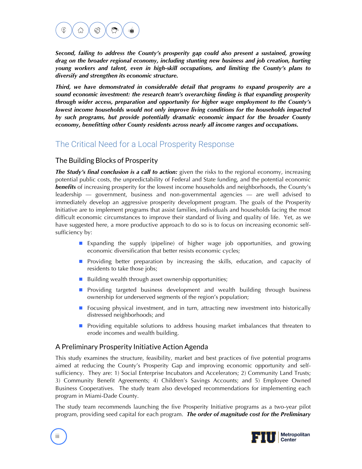

*Second, failing to address the County's prosperity gap could also present a sustained, growing drag on the broader regional economy, including stunting new business and job creation, hurting young workers and talent, even in high-skill occupations, and limiting the County's plans to diversify and strengthen its economic structure.*

*Third, we have demonstrated in considerable detail that programs to expand prosperity are a sound economic investment: the research team's overarching finding is that expanding prosperity through wider access, preparation and opportunity for higher wage employment to the County's lowest income households would not only improve living conditions for the households impacted by such programs, but provide potentially dramatic economic impact for the broader County economy, benefitting other County residents across nearly all income ranges and occupations.* 

# The Critical Need for a Local Prosperity Response

#### The Building Blocks of Prosperity

*The Study's final conclusion is a call to action:* given the risks to the regional economy, increasing potential public costs, the unpredictability of Federal and State funding, and the potential economic *benefits* of increasing prosperity for the lowest income households and neighborhoods, the County's leadership — government, business and non-governmental agencies — are well advised to immediately develop an aggressive prosperity development program. The goals of the Prosperity Initiative are to implement programs that assist families, individuals and households facing the most difficult economic circumstances to improve their standard of living and quality of life. Yet, as we have suggested here, a more productive approach to do so is to focus on increasing economic selfsufficiency by:

- ! Expanding the supply (pipeline) of higher wage job opportunities, and growing economic diversification that better resists economic cycles;
- **E** Providing better preparation by increasing the skills, education, and capacity of residents to take those jobs;
- $\blacksquare$  Building wealth through asset ownership opportunities;
- **E** Providing targeted business development and wealth building through business ownership for underserved segments of the region's population;
- **E** Focusing physical investment, and in turn, attracting new investment into historically distressed neighborhoods; and
- **E** Providing equitable solutions to address housing market imbalances that threaten to erode incomes and wealth building.

#### A Preliminary Prosperity Initiative Action Agenda

This study examines the structure, feasibility, market and best practices of five potential programs aimed at reducing the County's Prosperity Gap and improving economic opportunity and selfsufficiency. They are: 1) Social Enterprise Incubators and Accelerators; 2) Community Land Trusts; 3) Community Benefit Agreements; 4) Children's Savings Accounts; and 5) Employee Owned Business Cooperatives. The study team also developed recommendations for implementing each program in Miami-Dade County.

The study team recommends launching the five Prosperity Initiative programs as a two-year pilot program, providing seed capital for each program. *The order of magnitude cost for the Preliminary* 

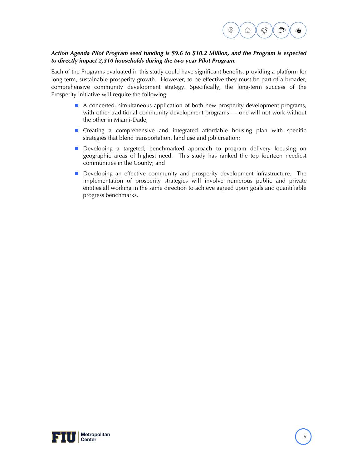

#### *Action Agenda Pilot Program seed funding is \$9.6 to \$10.2 Million, and the Program is expected to directly impact 2,310 households during the two-year Pilot Program.*

Each of the Programs evaluated in this study could have significant benefits, providing a platform for long-term, sustainable prosperity growth. However, to be effective they must be part of a broader, comprehensive community development strategy. Specifically, the long-term success of the Prosperity Initiative will require the following:

- **A concerted, simultaneous application of both new prosperity development programs,** with other traditional community development programs — one will not work without the other in Miami-Dade;
- **E** Creating a comprehensive and integrated affordable housing plan with specific strategies that blend transportation, land use and job creation;
- **Developing a targeted, benchmarked approach to program delivery focusing on** geographic areas of highest need. This study has ranked the top fourteen neediest communities in the County; and
- **. Developing an effective community and prosperity development infrastructure.** The implementation of prosperity strategies will involve numerous public and private entities all working in the same direction to achieve agreed upon goals and quantifiable progress benchmarks.

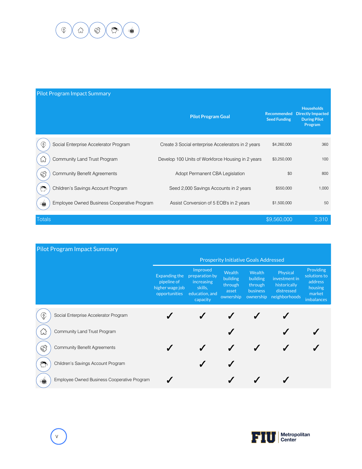

v

| <b>Pilot Program Impact Summary</b>   |                                             |                                                    |                                    |                                                                                 |  |  |  |  |  |  |  |
|---------------------------------------|---------------------------------------------|----------------------------------------------------|------------------------------------|---------------------------------------------------------------------------------|--|--|--|--|--|--|--|
|                                       |                                             | <b>Pilot Program Goal</b>                          | Recommended<br><b>Seed Funding</b> | <b>Households</b><br><b>Directly Impacted</b><br><b>During Pilot</b><br>Program |  |  |  |  |  |  |  |
| ♦                                     | Social Enterprise Accelerator Program       | Create 3 Social enterprise Accelerators in 2 years | \$4,260,000                        | 360                                                                             |  |  |  |  |  |  |  |
| ĹJ<br><b>ER</b><br>€<br>$\Rightarrow$ | Community Land Trust Program                | Develop 100 Units of Workforce Housing in 2 years  | \$3,250,000                        | 100                                                                             |  |  |  |  |  |  |  |
|                                       | <b>Community Benefit Agreements</b>         | Adopt Permanent CBA Legislation                    | \$0                                | 800                                                                             |  |  |  |  |  |  |  |
|                                       | Children's Savings Account Program          | Seed 2,000 Savings Accounts in 2 years             | \$550,000                          | 1,000                                                                           |  |  |  |  |  |  |  |
|                                       | Employee Owned Business Cooperative Program | Assist Conversion of 5 EOB's in 2 years            | \$1,500,000                        | 50                                                                              |  |  |  |  |  |  |  |
| Totals                                |                                             |                                                    | \$9,560,000                        | 2,310                                                                           |  |  |  |  |  |  |  |

| <b>Pilot Program Impact Summary</b> |                                             |                                                                  |                                                                                   |                                                                   |                                                                      |                                                                          |                                                                                |  |  |  |
|-------------------------------------|---------------------------------------------|------------------------------------------------------------------|-----------------------------------------------------------------------------------|-------------------------------------------------------------------|----------------------------------------------------------------------|--------------------------------------------------------------------------|--------------------------------------------------------------------------------|--|--|--|
|                                     |                                             | <b>Prosperity Initiative Goals Addressed</b>                     |                                                                                   |                                                                   |                                                                      |                                                                          |                                                                                |  |  |  |
|                                     |                                             | Expanding the<br>pipeline of<br>higher wage job<br>opportunities | Improved<br>preparation by<br>increasing<br>skills,<br>education, and<br>capacity | <b>Wealth</b><br><b>building</b><br>through<br>asset<br>ownership | Wealth<br><b>building</b><br>through<br><b>business</b><br>ownership | Physical<br>investment in<br>historically<br>distressed<br>neighborhoods | <b>Providing</b><br>solutions to<br>address<br>housing<br>market<br>imbalances |  |  |  |
| ♦                                   | Social Enterprise Accelerator Program       |                                                                  |                                                                                   |                                                                   |                                                                      |                                                                          |                                                                                |  |  |  |
| 仙                                   | Community Land Trust Program                |                                                                  |                                                                                   |                                                                   |                                                                      |                                                                          |                                                                                |  |  |  |
| <b>ES</b>                           | <b>Community Benefit Agreements</b>         |                                                                  |                                                                                   |                                                                   |                                                                      |                                                                          |                                                                                |  |  |  |
| ٦                                   | Children's Savings Account Program          |                                                                  |                                                                                   |                                                                   |                                                                      |                                                                          |                                                                                |  |  |  |
| 嘛                                   | Employee Owned Business Cooperative Program |                                                                  |                                                                                   |                                                                   |                                                                      |                                                                          |                                                                                |  |  |  |